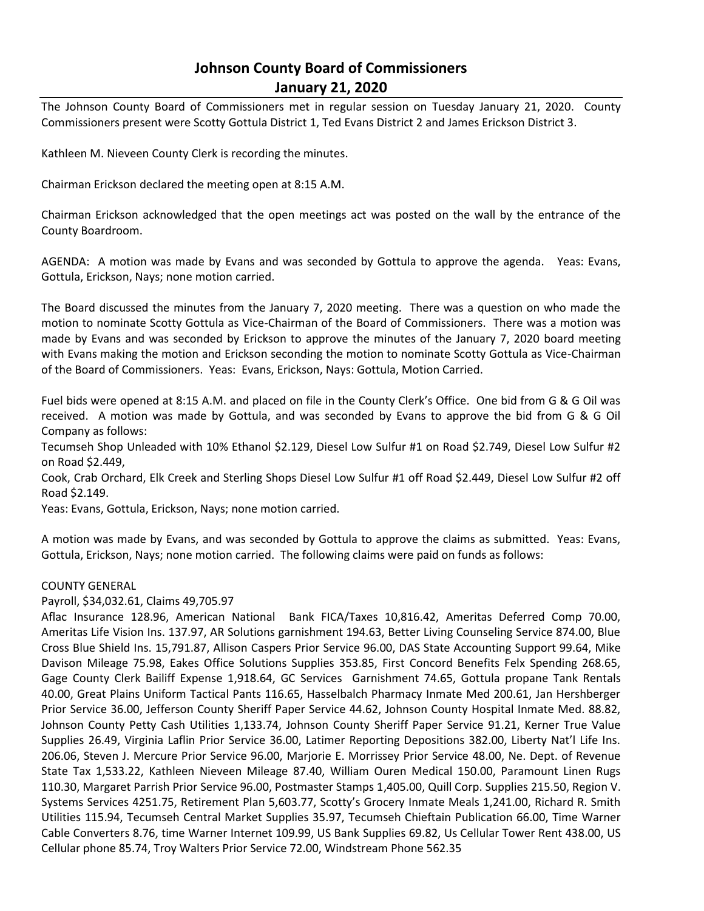# **Johnson County Board of Commissioners January 21, 2020**

The Johnson County Board of Commissioners met in regular session on Tuesday January 21, 2020. County Commissioners present were Scotty Gottula District 1, Ted Evans District 2 and James Erickson District 3.

Kathleen M. Nieveen County Clerk is recording the minutes.

Chairman Erickson declared the meeting open at 8:15 A.M.

Chairman Erickson acknowledged that the open meetings act was posted on the wall by the entrance of the County Boardroom.

AGENDA: A motion was made by Evans and was seconded by Gottula to approve the agenda. Yeas: Evans, Gottula, Erickson, Nays; none motion carried.

The Board discussed the minutes from the January 7, 2020 meeting. There was a question on who made the motion to nominate Scotty Gottula as Vice-Chairman of the Board of Commissioners. There was a motion was made by Evans and was seconded by Erickson to approve the minutes of the January 7, 2020 board meeting with Evans making the motion and Erickson seconding the motion to nominate Scotty Gottula as Vice-Chairman of the Board of Commissioners. Yeas: Evans, Erickson, Nays: Gottula, Motion Carried.

Fuel bids were opened at 8:15 A.M. and placed on file in the County Clerk's Office. One bid from G & G Oil was received. A motion was made by Gottula, and was seconded by Evans to approve the bid from G & G Oil Company as follows:

Tecumseh Shop Unleaded with 10% Ethanol \$2.129, Diesel Low Sulfur #1 on Road \$2.749, Diesel Low Sulfur #2 on Road \$2.449,

Cook, Crab Orchard, Elk Creek and Sterling Shops Diesel Low Sulfur #1 off Road \$2.449, Diesel Low Sulfur #2 off Road \$2.149.

Yeas: Evans, Gottula, Erickson, Nays; none motion carried.

A motion was made by Evans, and was seconded by Gottula to approve the claims as submitted. Yeas: Evans, Gottula, Erickson, Nays; none motion carried. The following claims were paid on funds as follows:

## COUNTY GENERAL

## Payroll, \$34,032.61, Claims 49,705.97

Aflac Insurance 128.96, American National Bank FICA/Taxes 10,816.42, Ameritas Deferred Comp 70.00, Ameritas Life Vision Ins. 137.97, AR Solutions garnishment 194.63, Better Living Counseling Service 874.00, Blue Cross Blue Shield Ins. 15,791.87, Allison Caspers Prior Service 96.00, DAS State Accounting Support 99.64, Mike Davison Mileage 75.98, Eakes Office Solutions Supplies 353.85, First Concord Benefits Felx Spending 268.65, Gage County Clerk Bailiff Expense 1,918.64, GC Services Garnishment 74.65, Gottula propane Tank Rentals 40.00, Great Plains Uniform Tactical Pants 116.65, Hasselbalch Pharmacy Inmate Med 200.61, Jan Hershberger Prior Service 36.00, Jefferson County Sheriff Paper Service 44.62, Johnson County Hospital Inmate Med. 88.82, Johnson County Petty Cash Utilities 1,133.74, Johnson County Sheriff Paper Service 91.21, Kerner True Value Supplies 26.49, Virginia Laflin Prior Service 36.00, Latimer Reporting Depositions 382.00, Liberty Nat'l Life Ins. 206.06, Steven J. Mercure Prior Service 96.00, Marjorie E. Morrissey Prior Service 48.00, Ne. Dept. of Revenue State Tax 1,533.22, Kathleen Nieveen Mileage 87.40, William Ouren Medical 150.00, Paramount Linen Rugs 110.30, Margaret Parrish Prior Service 96.00, Postmaster Stamps 1,405.00, Quill Corp. Supplies 215.50, Region V. Systems Services 4251.75, Retirement Plan 5,603.77, Scotty's Grocery Inmate Meals 1,241.00, Richard R. Smith Utilities 115.94, Tecumseh Central Market Supplies 35.97, Tecumseh Chieftain Publication 66.00, Time Warner Cable Converters 8.76, time Warner Internet 109.99, US Bank Supplies 69.82, Us Cellular Tower Rent 438.00, US Cellular phone 85.74, Troy Walters Prior Service 72.00, Windstream Phone 562.35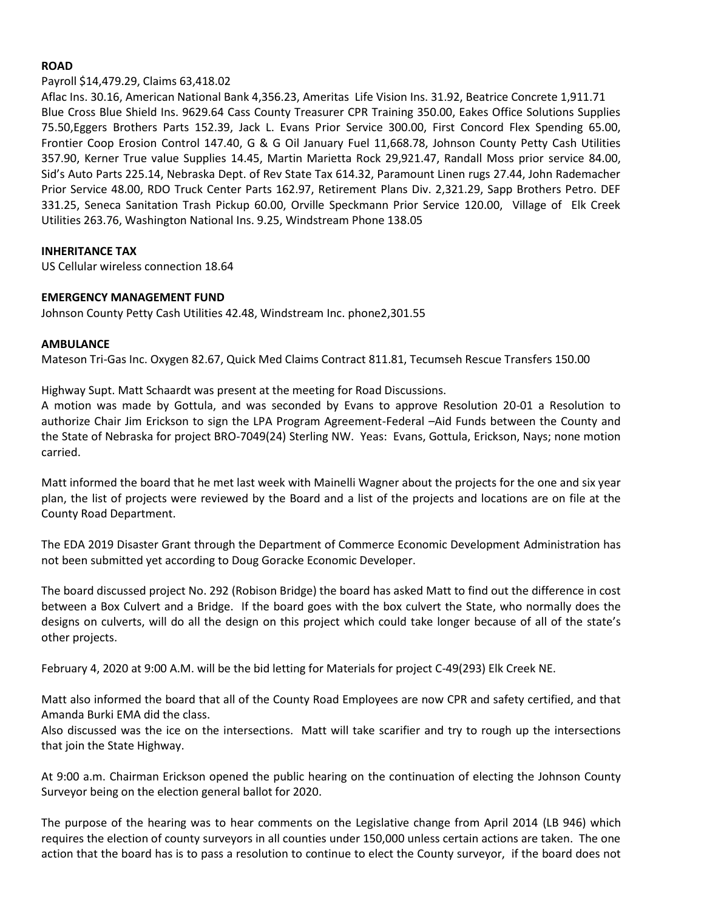### **ROAD**

#### Payroll \$14,479.29, Claims 63,418.02

Aflac Ins. 30.16, American National Bank 4,356.23, Ameritas Life Vision Ins. 31.92, Beatrice Concrete 1,911.71 Blue Cross Blue Shield Ins. 9629.64 Cass County Treasurer CPR Training 350.00, Eakes Office Solutions Supplies 75.50,Eggers Brothers Parts 152.39, Jack L. Evans Prior Service 300.00, First Concord Flex Spending 65.00, Frontier Coop Erosion Control 147.40, G & G Oil January Fuel 11,668.78, Johnson County Petty Cash Utilities 357.90, Kerner True value Supplies 14.45, Martin Marietta Rock 29,921.47, Randall Moss prior service 84.00, Sid's Auto Parts 225.14, Nebraska Dept. of Rev State Tax 614.32, Paramount Linen rugs 27.44, John Rademacher Prior Service 48.00, RDO Truck Center Parts 162.97, Retirement Plans Div. 2,321.29, Sapp Brothers Petro. DEF 331.25, Seneca Sanitation Trash Pickup 60.00, Orville Speckmann Prior Service 120.00, Village of Elk Creek Utilities 263.76, Washington National Ins. 9.25, Windstream Phone 138.05

#### **INHERITANCE TAX**

US Cellular wireless connection 18.64

## **EMERGENCY MANAGEMENT FUND**

Johnson County Petty Cash Utilities 42.48, Windstream Inc. phone2,301.55

#### **AMBULANCE**

Mateson Tri-Gas Inc. Oxygen 82.67, Quick Med Claims Contract 811.81, Tecumseh Rescue Transfers 150.00

Highway Supt. Matt Schaardt was present at the meeting for Road Discussions.

A motion was made by Gottula, and was seconded by Evans to approve Resolution 20-01 a Resolution to authorize Chair Jim Erickson to sign the LPA Program Agreement-Federal –Aid Funds between the County and the State of Nebraska for project BRO-7049(24) Sterling NW. Yeas: Evans, Gottula, Erickson, Nays; none motion carried.

Matt informed the board that he met last week with Mainelli Wagner about the projects for the one and six year plan, the list of projects were reviewed by the Board and a list of the projects and locations are on file at the County Road Department.

The EDA 2019 Disaster Grant through the Department of Commerce Economic Development Administration has not been submitted yet according to Doug Goracke Economic Developer.

The board discussed project No. 292 (Robison Bridge) the board has asked Matt to find out the difference in cost between a Box Culvert and a Bridge. If the board goes with the box culvert the State, who normally does the designs on culverts, will do all the design on this project which could take longer because of all of the state's other projects.

February 4, 2020 at 9:00 A.M. will be the bid letting for Materials for project C-49(293) Elk Creek NE.

Matt also informed the board that all of the County Road Employees are now CPR and safety certified, and that Amanda Burki EMA did the class.

Also discussed was the ice on the intersections. Matt will take scarifier and try to rough up the intersections that join the State Highway.

At 9:00 a.m. Chairman Erickson opened the public hearing on the continuation of electing the Johnson County Surveyor being on the election general ballot for 2020.

The purpose of the hearing was to hear comments on the Legislative change from April 2014 (LB 946) which requires the election of county surveyors in all counties under 150,000 unless certain actions are taken. The one action that the board has is to pass a resolution to continue to elect the County surveyor, if the board does not